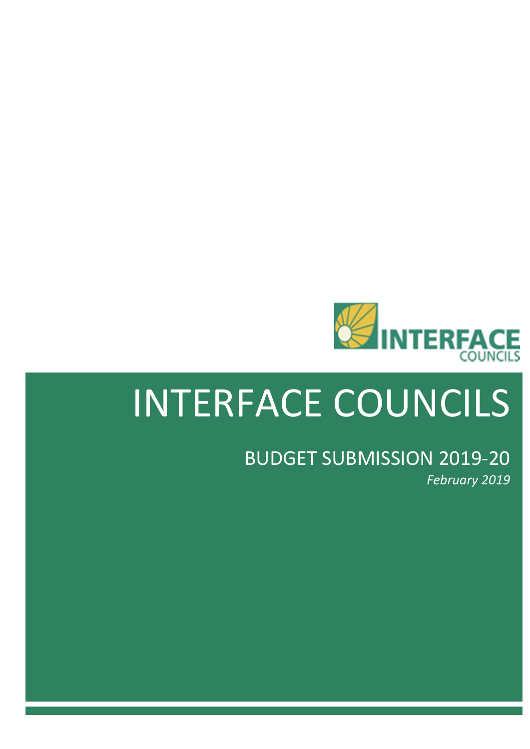

# INTERFACE COUNCILS

# BUDGET SUBMISSION 2019-20 *February 2019*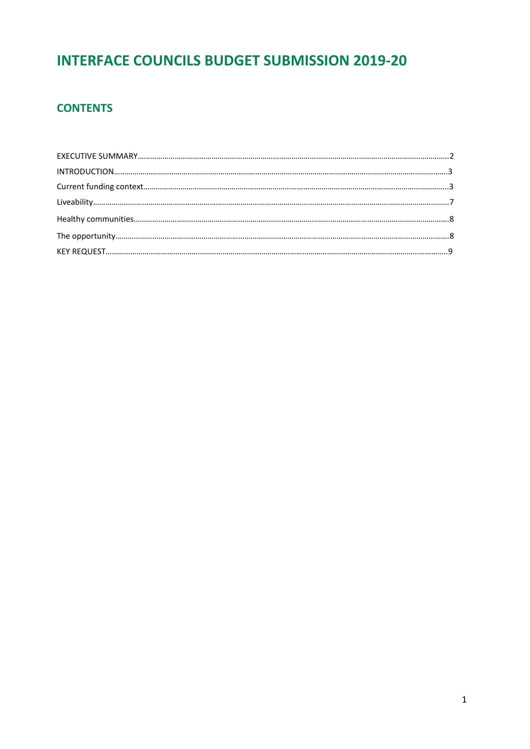# **INTERFACE COUNCILS BUDGET SUBMISSION 2019-20**

## **CONTENTS**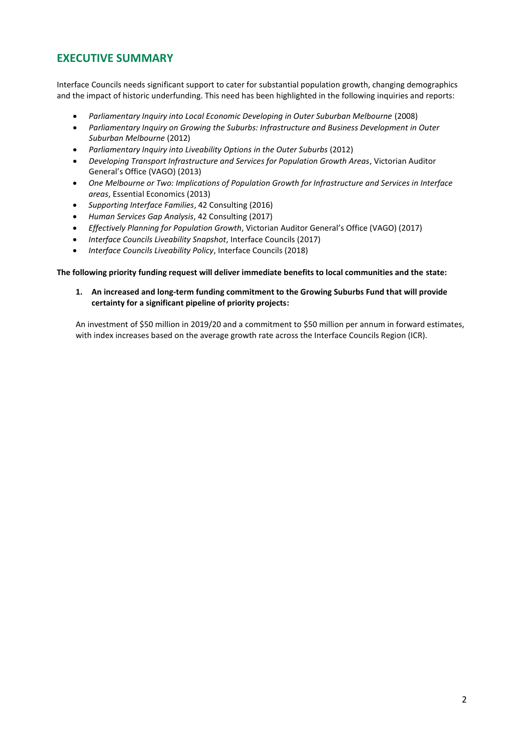## <span id="page-2-0"></span>**EXECUTIVE SUMMARY**

Interface Councils needs significant support to cater for substantial population growth, changing demographics and the impact of historic underfunding. This need has been highlighted in the following inquiries and reports:

- *Parliamentary Inquiry into Local Economic Developing in Outer Suburban Melbourne* (2008)
- *Parliamentary Inquiry on Growing the Suburbs: Infrastructure and Business Development in Outer Suburban Melbourne* (2012)
- *Parliamentary Inquiry into Liveability Options in the Outer Suburbs* (2012)
- *Developing Transport Infrastructure and Services for Population Growth Areas*, Victorian Auditor General's Office (VAGO) (2013)
- *One Melbourne or Two: Implications of Population Growth for Infrastructure and Services in Interface areas*, Essential Economics (2013)
- *Supporting Interface Families*, 42 Consulting (2016)
- *Human Services Gap Analysis*, 42 Consulting (2017)
- *Effectively Planning for Population Growth*, Victorian Auditor General's Office (VAGO) (2017)
- *Interface Councils Liveability Snapshot*, Interface Councils (2017)
- *Interface Councils Liveability Policy*, Interface Councils (2018)

#### **The following priority funding request will deliver immediate benefits to local communities and the state:**

**1. An increased and long-term funding commitment to the Growing Suburbs Fund that will provide certainty for a significant pipeline of priority projects:** 

An investment of \$50 million in 2019/20 and a commitment to \$50 million per annum in forward estimates, with index increases based on the average growth rate across the Interface Councils Region (ICR).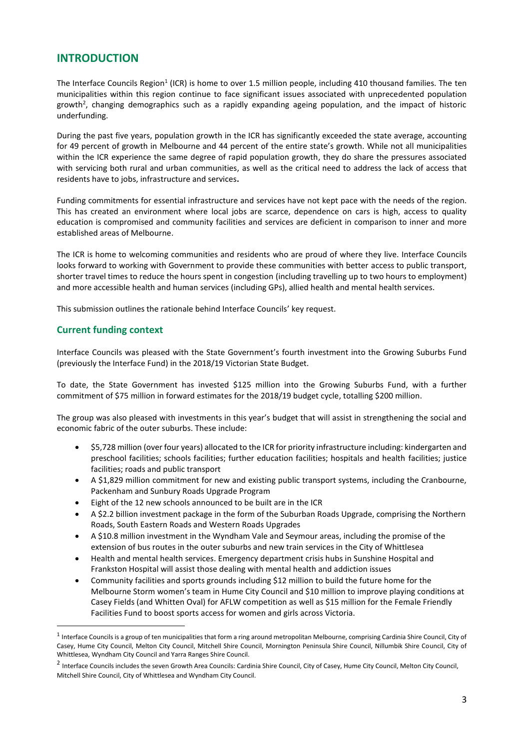### <span id="page-3-0"></span>**INTRODUCTION**

The Interface Councils Region<sup>1</sup> (ICR) is home to over 1.5 million people, including 410 thousand families. The ten municipalities within this region continue to face significant issues associated with unprecedented population growth<sup>2</sup>, changing demographics such as a rapidly expanding ageing population, and the impact of historic underfunding.

During the past five years, population growth in the ICR has significantly exceeded the state average, accounting for 49 percent of growth in Melbourne and 44 percent of the entire state's growth. While not all municipalities within the ICR experience the same degree of rapid population growth, they do share the pressures associated with servicing both rural and urban communities, as well as the critical need to address the lack of access that residents have to jobs, infrastructure and services**.** 

Funding commitments for essential infrastructure and services have not kept pace with the needs of the region. This has created an environment where local jobs are scarce, dependence on cars is high, access to quality education is compromised and community facilities and services are deficient in comparison to inner and more established areas of Melbourne.

The ICR is home to welcoming communities and residents who are proud of where they live. Interface Councils looks forward to working with Government to provide these communities with better access to public transport, shorter travel times to reduce the hours spent in congestion (including travelling up to two hours to employment) and more accessible health and human services (including GPs), allied health and mental health services.

This submission outlines the rationale behind Interface Councils' key request.

#### <span id="page-3-1"></span>**Current funding context**

 $\overline{\phantom{a}}$ 

Interface Councils was pleased with the State Government's fourth investment into the Growing Suburbs Fund (previously the Interface Fund) in the 2018/19 Victorian State Budget.

To date, the State Government has invested \$125 million into the Growing Suburbs Fund, with a further commitment of \$75 million in forward estimates for the 2018/19 budget cycle, totalling \$200 million.

The group was also pleased with investments in this year's budget that will assist in strengthening the social and economic fabric of the outer suburbs. These include:

- \$5,728 million (over four years) allocated to the ICR for priority infrastructure including: kindergarten and preschool facilities; schools facilities; further education facilities; hospitals and health facilities; justice facilities; roads and public transport
- A \$1,829 million commitment for new and existing public transport systems, including the Cranbourne, Packenham and Sunbury Roads Upgrade Program
- Eight of the 12 new schools announced to be built are in the ICR
- A \$2.2 billion investment package in the form of the Suburban Roads Upgrade, comprising the Northern Roads, South Eastern Roads and Western Roads Upgrades
- A \$10.8 million investment in the Wyndham Vale and Seymour areas, including the promise of the extension of bus routes in the outer suburbs and new train services in the City of Whittlesea
- Health and mental health services. Emergency department crisis hubs in Sunshine Hospital and Frankston Hospital will assist those dealing with mental health and addiction issues
- Community facilities and sports grounds including \$12 million to build the future home for the Melbourne Storm women's team in Hume City Council and \$10 million to improve playing conditions at Casey Fields (and Whitten Oval) for AFLW competition as well as \$15 million for the Female Friendly Facilities Fund to boost sports access for women and girls across Victoria.

 $^1$  Interface Councils is a group of ten municipalities that form a ring around metropolitan Melbourne, comprising Cardinia Shire Council, City of Casey, Hume City Council, Melton City Council, Mitchell Shire Council, Mornington Peninsula Shire Council, Nillumbik Shire Council, City of Whittlesea, Wyndham City Council and Yarra Ranges Shire Council.

<sup>&</sup>lt;sup>2</sup> Interface Councils includes the seven Growth Area Councils: Cardinia Shire Council, City of Casey, Hume City Council, Melton City Council, Mitchell Shire Council, City of Whittlesea and Wyndham City Council.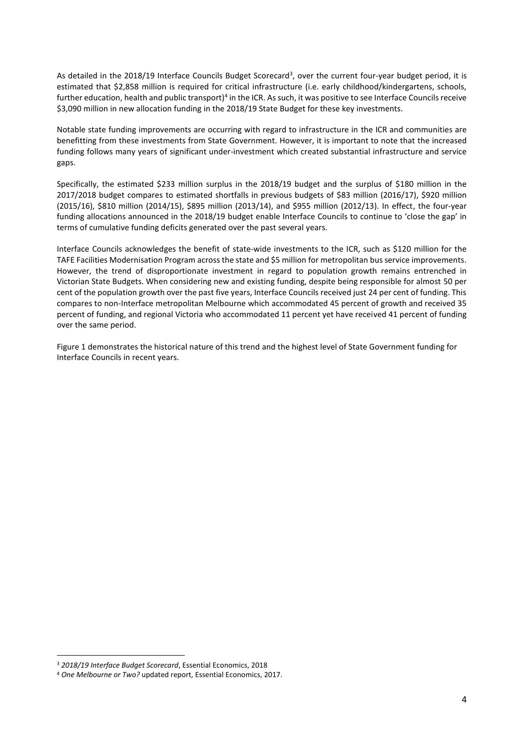As detailed in the 2018/19 Interface Councils Budget Scorecard<sup>3</sup>, over the current four-year budget period, it is estimated that \$2,858 million is required for critical infrastructure (i.e. early childhood/kindergartens, schools, further education, health and public transport)<sup>4</sup> in the ICR. As such, it was positive to see Interface Councils receive \$3,090 million in new allocation funding in the 2018/19 State Budget for these key investments.

Notable state funding improvements are occurring with regard to infrastructure in the ICR and communities are benefitting from these investments from State Government. However, it is important to note that the increased funding follows many years of significant under-investment which created substantial infrastructure and service gaps.

Specifically, the estimated \$233 million surplus in the 2018/19 budget and the surplus of \$180 million in the 2017/2018 budget compares to estimated shortfalls in previous budgets of \$83 million (2016/17), \$920 million (2015/16), \$810 million (2014/15), \$895 million (2013/14), and \$955 million (2012/13). In effect, the four-year funding allocations announced in the 2018/19 budget enable Interface Councils to continue to 'close the gap' in terms of cumulative funding deficits generated over the past several years.

Interface Councils acknowledges the benefit of state-wide investments to the ICR, such as \$120 million for the TAFE Facilities Modernisation Program across the state and \$5 million for metropolitan bus service improvements. However, the trend of disproportionate investment in regard to population growth remains entrenched in Victorian State Budgets. When considering new and existing funding, despite being responsible for almost 50 per cent of the population growth over the past five years, Interface Councils received just 24 per cent of funding. This compares to non-Interface metropolitan Melbourne which accommodated 45 percent of growth and received 35 percent of funding, and regional Victoria who accommodated 11 percent yet have received 41 percent of funding over the same period.

Figure 1 demonstrates the historical nature of this trend and the highest level of State Government funding for Interface Councils in recent years.

<sup>3</sup> *2018/19 Interface Budget Scorecard*, Essential Economics, 2018

<sup>4</sup> *One Melbourne or Two?* updated report, Essential Economics, 2017.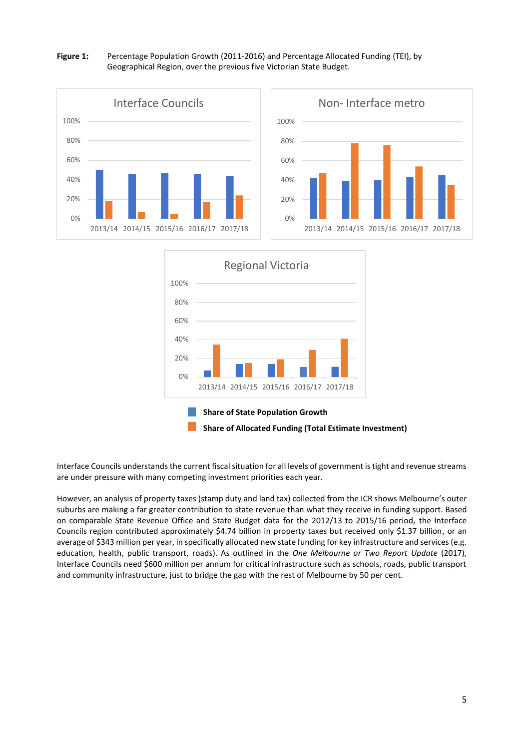#### **Figure 1:** Percentage Population Growth (2011-2016) and Percentage Allocated Funding (TEI), by Geographical Region, over the previous five Victorian State Budget.





Interface Councils understands the current fiscal situation for all levels of government is tight and revenue streams are under pressure with many competing investment priorities each year.

However, an analysis of property taxes (stamp duty and land tax) collected from the ICR shows Melbourne's outer suburbs are making a far greater contribution to state revenue than what they receive in funding support. Based on comparable State Revenue Office and State Budget data for the 2012/13 to 2015/16 period, the Interface Councils region contributed approximately \$4.74 billion in property taxes but received only \$1.37 billion, or an average of \$343 million per year, in specifically allocated new state funding for key infrastructure and services (e.g. education, health, public transport, roads). As outlined in the *One Melbourne or Two Report Update* (2017), Interface Councils need \$600 million per annum for critical infrastructure such as schools, roads, public transport and community infrastructure, just to bridge the gap with the rest of Melbourne by 50 per cent.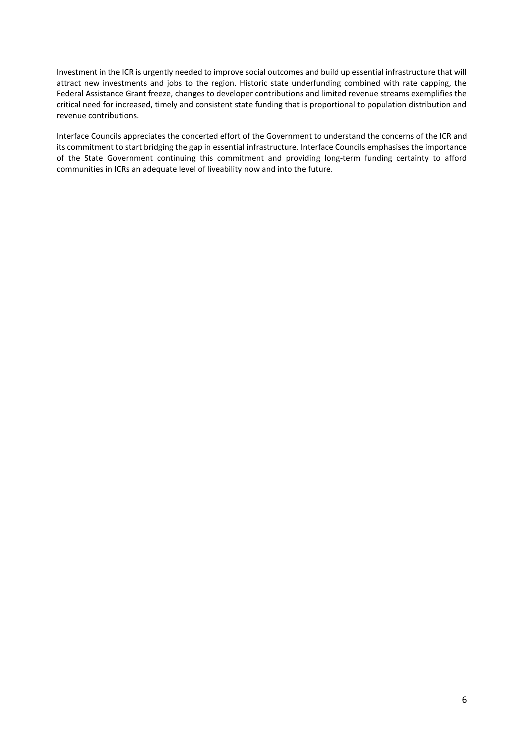Investment in the ICR is urgently needed to improve social outcomes and build up essential infrastructure that will attract new investments and jobs to the region. Historic state underfunding combined with rate capping, the Federal Assistance Grant freeze, changes to developer contributions and limited revenue streams exemplifies the critical need for increased, timely and consistent state funding that is proportional to population distribution and revenue contributions.

Interface Councils appreciates the concerted effort of the Government to understand the concerns of the ICR and its commitment to start bridging the gap in essential infrastructure. Interface Councils emphasises the importance of the State Government continuing this commitment and providing long-term funding certainty to afford communities in ICRs an adequate level of liveability now and into the future.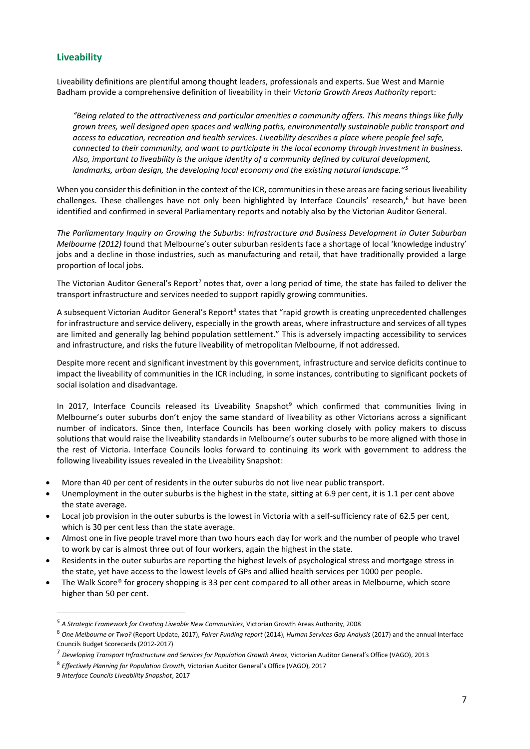#### <span id="page-7-0"></span>**Liveability**

Liveability definitions are plentiful among thought leaders, professionals and experts. Sue West and Marnie Badham provide a comprehensive definition of liveability in their *Victoria Growth Areas Authority* report:

*"Being related to the attractiveness and particular amenities a community offers. This means things like fully grown trees, well designed open spaces and walking paths, environmentally sustainable public transport and access to education, recreation and health services. Liveability describes a place where people feel safe, connected to their community, and want to participate in the local economy through investment in business. Also, important to liveability is the unique identity of a community defined by cultural development, landmarks, urban design, the developing local economy and the existing natural landscape."<sup>5</sup>*

When you consider this definition in the context of the ICR, communities in these areas are facing serious liveability challenges. These challenges have not only been highlighted by Interface Councils' research, <sup>6</sup> but have been identified and confirmed in several Parliamentary reports and notably also by the Victorian Auditor General.

*The Parliamentary Inquiry on Growing the Suburbs: Infrastructure and Business Development in Outer Suburban Melbourne (2012)* found that Melbourne's outer suburban residents face a shortage of local 'knowledge industry' jobs and a decline in those industries, such as manufacturing and retail, that have traditionally provided a large proportion of local jobs.

The Victorian Auditor General's Report<sup>7</sup> notes that, over a long period of time, the state has failed to deliver the transport infrastructure and services needed to support rapidly growing communities.

A subsequent Victorian Auditor General's Report<sup>8</sup> states that "rapid growth is creating unprecedented challenges for infrastructure and service delivery, especially in the growth areas, where infrastructure and services of all types are limited and generally lag behind population settlement." This is adversely impacting accessibility to services and infrastructure, and risks the future liveability of metropolitan Melbourne, if not addressed.

Despite more recent and significant investment by this government, infrastructure and service deficits continue to impact the liveability of communities in the ICR including, in some instances, contributing to significant pockets of social isolation and disadvantage.

In 2017, Interface Councils released its Liveability Snapshot<sup>9</sup> which confirmed that communities living in Melbourne's outer suburbs don't enjoy the same standard of liveability as other Victorians across a significant number of indicators. Since then, Interface Councils has been working closely with policy makers to discuss solutions that would raise the liveability standards in Melbourne's outer suburbs to be more aligned with those in the rest of Victoria. Interface Councils looks forward to continuing its work with government to address the following liveability issues revealed in the Liveability Snapshot:

- More than 40 per cent of residents in the outer suburbs do not live near public transport.
- Unemployment in the outer suburbs is the highest in the state, sitting at 6.9 per cent, it is 1.1 per cent above the state average.
- Local job provision in the outer suburbs is the lowest in Victoria with a self-sufficiency rate of 62.5 per cent, which is 30 per cent less than the state average.
- Almost one in five people travel more than two hours each day for work and the number of people who travel to work by car is almost three out of four workers, again the highest in the state.
- Residents in the outer suburbs are reporting the highest levels of psychological stress and mortgage stress in the state, yet have access to the lowest levels of GPs and allied health services per 1000 per people.
- The Walk Score® for grocery shopping is 33 per cent compared to all other areas in Melbourne, which score higher than 50 per cent.

*<sup>5</sup> A Strategic Framework for Creating Liveable New Communities*, Victorian Growth Areas Authority, 2008

<sup>6</sup> *One Melbourne or Two?* (Report Update, 2017), *Fairer Funding report* (2014), *Human Services Gap Analysis* (2017) and the annual Interface Councils Budget Scorecards (2012-2017)

<sup>7</sup> *Developing Transport Infrastructure and Services for Population Growth Areas*, Victorian Auditor General's Office (VAGO), 2013

<sup>8</sup> *Effectively Planning for Population Growth,* Victorian Auditor General's Office (VAGO), 2017

<sup>9</sup> *Interface Councils Liveability Snapshot*, 2017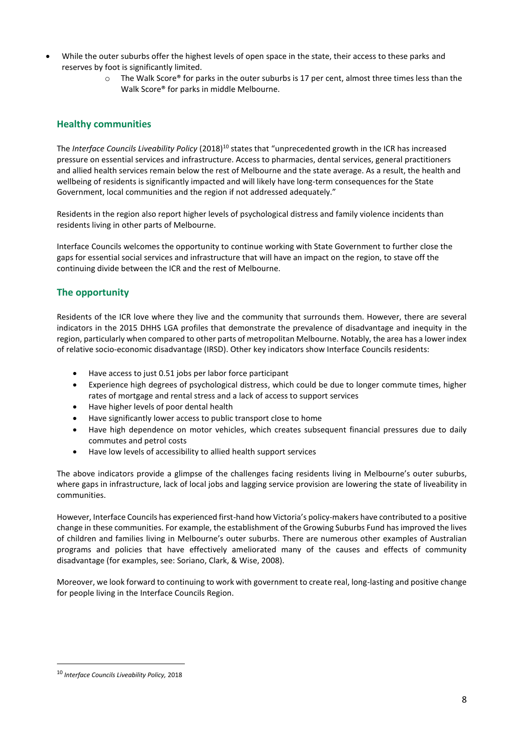- While the outer suburbs offer the highest levels of open space in the state, their access to these parks and reserves by foot is significantly limited.
	- o The Walk Score® for parks in the outer suburbs is 17 per cent, almost three times less than the Walk Score® for parks in middle Melbourne.

#### <span id="page-8-0"></span>**Healthy communities**

The *Interface Councils Liveability Policy* (2018)<sup>10</sup> states that "unprecedented growth in the ICR has increased pressure on essential services and infrastructure. Access to pharmacies, dental services, general practitioners and allied health services remain below the rest of Melbourne and the state average. As a result, the health and wellbeing of residents is significantly impacted and will likely have long-term consequences for the State Government, local communities and the region if not addressed adequately."

Residents in the region also report higher levels of psychological distress and family violence incidents than residents living in other parts of Melbourne.

Interface Councils welcomes the opportunity to continue working with State Government to further close the gaps for essential social services and infrastructure that will have an impact on the region, to stave off the continuing divide between the ICR and the rest of Melbourne.

#### <span id="page-8-1"></span>**The opportunity**

Residents of the ICR love where they live and the community that surrounds them. However, there are several indicators in the 2015 DHHS LGA profiles that demonstrate the prevalence of disadvantage and inequity in the region, particularly when compared to other parts of metropolitan Melbourne. Notably, the area has a lower index of relative socio-economic disadvantage (IRSD). Other key indicators show Interface Councils residents:

- Have access to just 0.51 jobs per labor force participant
- Experience high degrees of psychological distress, which could be due to longer commute times, higher rates of mortgage and rental stress and a lack of access to support services
- Have higher levels of poor dental health
- Have significantly lower access to public transport close to home
- Have high dependence on motor vehicles, which creates subsequent financial pressures due to daily commutes and petrol costs
- Have low levels of accessibility to allied health support services

The above indicators provide a glimpse of the challenges facing residents living in Melbourne's outer suburbs, where gaps in infrastructure, lack of local jobs and lagging service provision are lowering the state of liveability in communities.

However, Interface Councils has experienced first-hand how Victoria's policy-makers have contributed to a positive change in these communities. For example, the establishment of the Growing Suburbs Fund hasimproved the lives of children and families living in Melbourne's outer suburbs. There are numerous other examples of Australian programs and policies that have effectively ameliorated many of the causes and effects of community disadvantage (for examples, see: Soriano, Clark, & Wise, 2008).

Moreover, we look forward to continuing to work with government to create real, long-lasting and positive change for people living in the Interface Councils Region.

<sup>10</sup> *Interface Councils Liveability Policy,* 2018